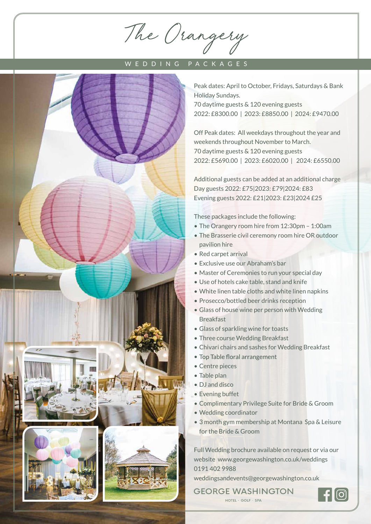The Orangery

## WEDDING PACKAGES



Peak dates: April to October, Fridays, Saturdays & Bank Holiday Sundays. 70 daytime guests & 120 evening guests 2022: £8300.00 | 2023: £8850.00 | 2024: £9470.00

Off Peak dates: All weekdays throughout the year and weekends throughout November to March. 70 daytime guests & 120 evening guests 2022: £5690.00 | 2023: £6020.00 | 2024: £6550.00

Additional guests can be added at an additional charge Day guests 2022: £75|2023: £79|2024: £83 Evening guests 2022: £21|2023: £23|2024 £25

These packages include the following:

- The Orangery room hire from 12:30pm 1:00am
- The Brasserie civil ceremony room hire OR outdoor pavilion hire
- Red carpet arrival
- Exclusive use our Abraham's bar
- Master of Ceremonies to run your special day
- Use of hotels cake table, stand and knife
- White linen table cloths and white linen napkins
- Prosecco/bottled beer drinks reception
- Glass of house wine per person with Wedding Breakfast
- Glass of sparkling wine for toasts
- Three course Wedding Breakfast
- Chivari chairs and sashes for Wedding Breakfast
- Top Table floral arrangement
- Centre pieces
- Table plan
- DJ and disco
- Evening buffet
- Complimentary Privilege Suite for Bride & Groom
- Wedding coordinator
- 3 month gym membership at Montana Spa & Leisure for the Bride & Groom

Full Wedding brochure available on request or via our website www.georgewashington.co.uk/weddings 0191 402 9988

weddingsandevents@georgewashington.co.uk

**GEORGE WASHINGTON** HOTEL - GOLF - SPA